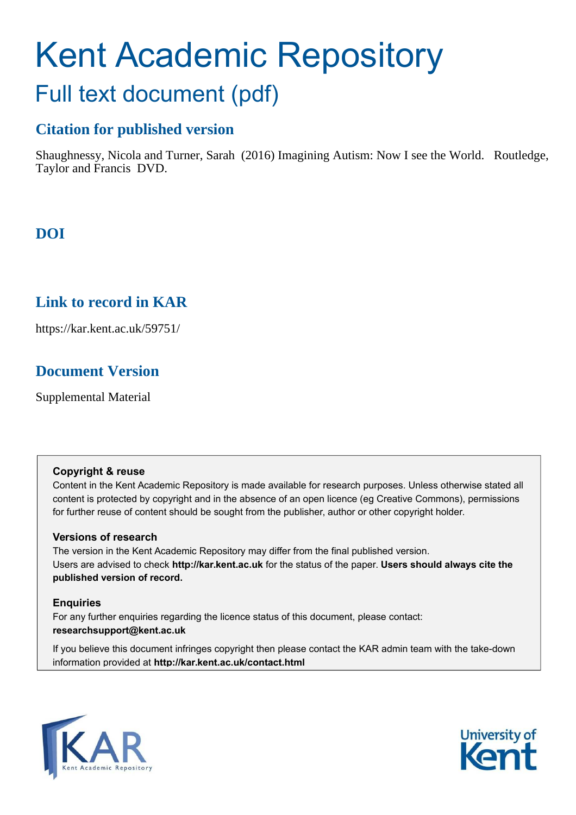# Kent Academic Repository Full text document (pdf)

## **Citation for published version**

Shaughnessy, Nicola and Turner, Sarah (2016) Imagining Autism: Now I see the World. Routledge, Taylor and Francis DVD.

# **DOI**

## **Link to record in KAR**

https://kar.kent.ac.uk/59751/

## **Document Version**

Supplemental Material

#### **Copyright & reuse**

Content in the Kent Academic Repository is made available for research purposes. Unless otherwise stated all content is protected by copyright and in the absence of an open licence (eg Creative Commons), permissions for further reuse of content should be sought from the publisher, author or other copyright holder.

## **Versions of research**

The version in the Kent Academic Repository may differ from the final published version. Users are advised to check **http://kar.kent.ac.uk** for the status of the paper. **Users should always cite the published version of record.**

## **Enquiries**

For any further enquiries regarding the licence status of this document, please contact: **researchsupport@kent.ac.uk**

If you believe this document infringes copyright then please contact the KAR admin team with the take-down information provided at **http://kar.kent.ac.uk/contact.html**



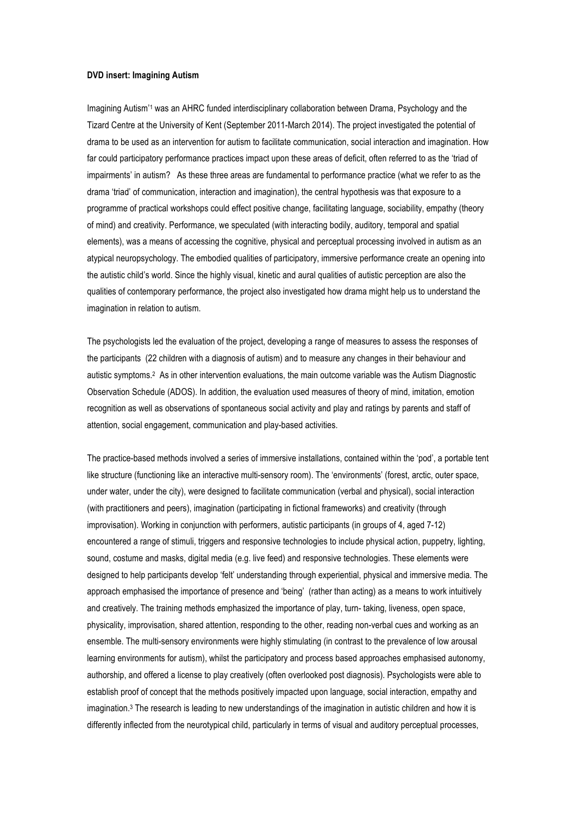#### **DVD insert: Imagining Autism**

Imagining Autism<sup>'1</sup> was an AHRC funded interdisciplinary collaboration between Drama, Psychology and the Tizard Centre at the University of Kent (September 2011-March 2014). The project investigated the potential of drama to be used as an intervention for autism to facilitate communication, social interaction and imagination. How far could participatory performance practices impact upon these areas of deficit, often referred to as the 'triad of impairments' in autism? As these three areas are fundamental to performance practice (what we refer to as the drama 'triad' of communication, interaction and imagination), the central hypothesis was that exposure to a programme of practical workshops could effect positive change, facilitating language, sociability, empathy (theory of mind) and creativity. Performance, we speculated (with interacting bodily, auditory, temporal and spatial elements), was a means of accessing the cognitive, physical and perceptual processing involved in autism as an atypical neuropsychology. The embodied qualities of participatory, immersive performance create an opening into the autistic child's world. Since the highly visual, kinetic and aural qualities of autistic perception are also the qualities of contemporary performance, the project also investigated how drama might help us to understand the imagination in relation to autism.

The psychologists led the evaluation of the project, developing a range of measures to assess the responses of the participants (22 children with a diagnosis of autism) and to measure any changes in their behaviour and autistic symptoms.<sup>2</sup> As in other intervention evaluations, the main outcome variable was the Autism Diagnostic Observation Schedule (ADOS). In addition, the evaluation used measures of theory of mind, imitation, emotion recognition as well as observations of spontaneous social activity and play and ratings by parents and staff of attention, social engagement, communication and play-based activities.

The practice-based methods involved a series of immersive installations, contained within the 'pod', a portable tent like structure (functioning like an interactive multi-sensory room). The 'environments' (forest, arctic, outer space, under water, under the city), were designed to facilitate communication (verbal and physical), social interaction (with practitioners and peers), imagination (participating in fictional frameworks) and creativity (through improvisation). Working in conjunction with performers, autistic participants (in groups of 4, aged 7-12) encountered a range of stimuli, triggers and responsive technologies to include physical action, puppetry, lighting, sound, costume and masks, digital media (e.g. live feed) and responsive technologies. These elements were designed to help participants develop 'felt' understanding through experiential, physical and immersive media. The approach emphasised the importance of presence and 'being' (rather than acting) as a means to work intuitively and creatively. The training methods emphasized the importance of play, turn- taking, liveness, open space, physicality, improvisation, shared attention, responding to the other, reading non-verbal cues and working as an ensemble. The multi-sensory environments were highly stimulating (in contrast to the prevalence of low arousal learning environments for autism), whilst the participatory and process based approaches emphasised autonomy, authorship, and offered a license to play creatively (often overlooked post diagnosis). Psychologists were able to establish proof of concept that the methods positively impacted upon language, social interaction, empathy and imagination.<sup>3</sup> The research is leading to new understandings of the imagination in autistic children and how it is differently inflected from the neurotypical child, particularly in terms of visual and auditory perceptual processes,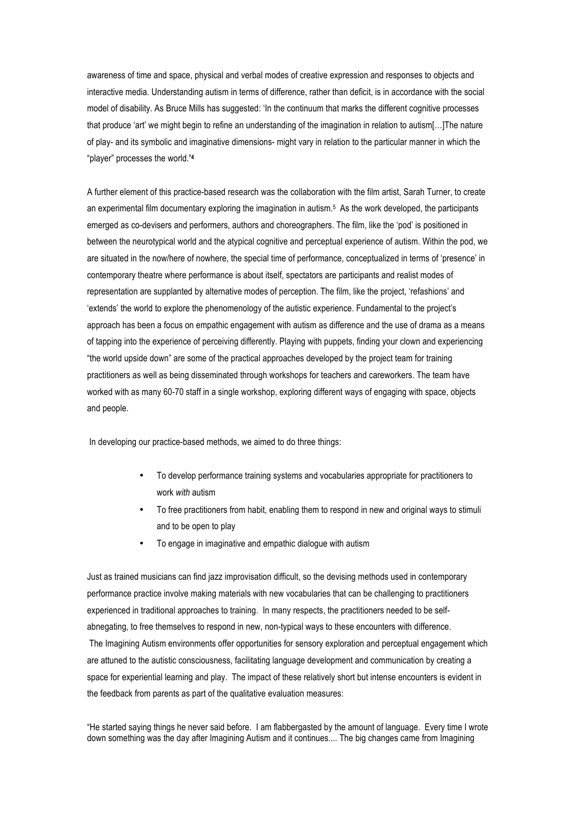awareness of time and space, physical and verbal modes of creative expression and responses to objects and interactive media. Understanding autism in terms of difference, rather than deficit, is in accordance with the social model of disability. As Bruce Mills has suggested: 'In the continuum that marks the different cognitive processes that produce 'art' we might begin to refine an understanding of the imagination in relation to autism[…]The nature of play- and its symbolic and imaginative dimensions- might vary in relation to the particular manner in which the "player" processes the world.**' 4**

A further element of this practice-based research was the collaboration with the film artist, Sarah Turner, to create an experimental film documentary exploring the imagination in autism.<sup>5</sup> As the work developed, the participants emerged as co-devisers and performers, authors and choreographers. The film, like the 'pod' is positioned in between the neurotypical world and the atypical cognitive and perceptual experience of autism. Within the pod, we are situated in the now/here of nowhere, the special time of performance, conceptualized in terms of 'presence' in contemporary theatre where performance is about itself, spectators are participants and realist modes of representation are supplanted by alternative modes of perception. The film, like the project, 'refashions' and 'extends' the world to explore the phenomenology of the autistic experience. Fundamental to the project's approach has been a focus on empathic engagement with autism as difference and the use of drama as a means of tapping into the experience of perceiving differently. Playing with puppets, finding your clown and experiencing "the world upside down" are some of the practical approaches developed by the project team for training practitioners as well as being disseminated through workshops for teachers and careworkers. The team have worked with as many 60-70 staff in a single workshop, exploring different ways of engaging with space, objects and people.

In developing our practice-based methods, we aimed to do three things:

- To develop performance training systems and vocabularies appropriate for practitioners to work *with* autism
- \* To free practitioners from habit, enabling them to respond in new and original ways to stimuli and to be open to play
- To engage in imaginative and empathic dialogue with autism

Just as trained musicians can find jazz improvisation difficult, so the devising methods used in contemporary performance practice involve making materials with new vocabularies that can be challenging to practitioners experienced in traditional approaches to training. In many respects, the practitioners needed to be selfabnegating, to free themselves to respond in new, non-typical ways to these encounters with difference. The Imagining Autism environments offer opportunities for sensory exploration and perceptual engagement which are attuned to the autistic consciousness, facilitating language development and communication by creating a space for experiential learning and play. The impact of these relatively short but intense encounters is evident in the feedback from parents as part of the qualitative evaluation measures:

"He started saying things he never said before. I am flabbergasted by the amount of language. Every time I wrote down something was the day after Imagining Autism and it continues.... The big changes came from Imagining